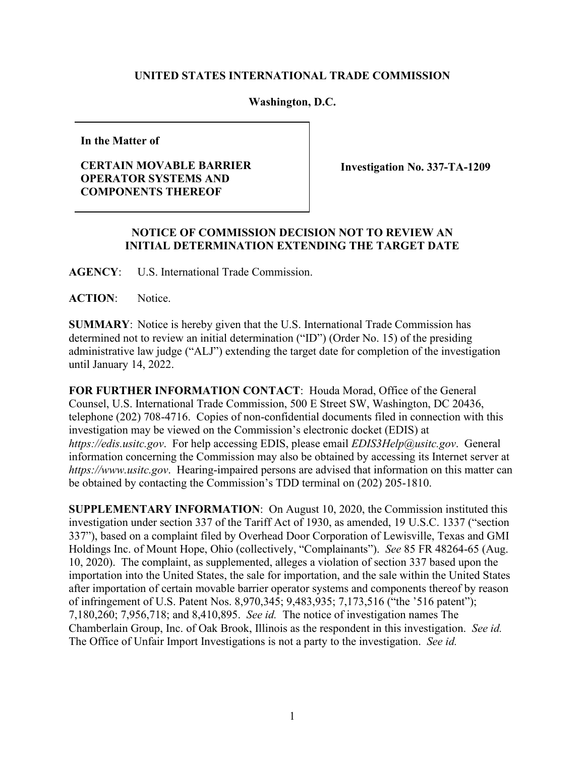## **UNITED STATES INTERNATIONAL TRADE COMMISSION**

## **Washington, D.C.**

**In the Matter of**

## **CERTAIN MOVABLE BARRIER OPERATOR SYSTEMS AND COMPONENTS THEREOF**

**Investigation No. 337-TA-1209**

## **NOTICE OF COMMISSION DECISION NOT TO REVIEW AN INITIAL DETERMINATION EXTENDING THE TARGET DATE**

**AGENCY**: U.S. International Trade Commission.

ACTION: Notice.

**SUMMARY**: Notice is hereby given that the U.S. International Trade Commission has determined not to review an initial determination ("ID") (Order No. 15) of the presiding administrative law judge ("ALJ") extending the target date for completion of the investigation until January 14, 2022.

**FOR FURTHER INFORMATION CONTACT**: Houda Morad, Office of the General Counsel, U.S. International Trade Commission, 500 E Street SW, Washington, DC 20436, telephone (202) 708-4716. Copies of non-confidential documents filed in connection with this investigation may be viewed on the Commission's electronic docket (EDIS) at *https://edis.usitc.gov*. For help accessing EDIS, please email *EDIS3Help@usitc.gov*. General information concerning the Commission may also be obtained by accessing its Internet server at *https://www.usitc.gov*. Hearing-impaired persons are advised that information on this matter can be obtained by contacting the Commission's TDD terminal on (202) 205-1810.

**SUPPLEMENTARY INFORMATION**: On August 10, 2020, the Commission instituted this investigation under section 337 of the Tariff Act of 1930, as amended, 19 U.S.C. 1337 ("section 337"), based on a complaint filed by Overhead Door Corporation of Lewisville, Texas and GMI Holdings Inc. of Mount Hope, Ohio (collectively, "Complainants"). *See* 85 FR 48264-65 (Aug. 10, 2020). The complaint, as supplemented, alleges a violation of section 337 based upon the importation into the United States, the sale for importation, and the sale within the United States after importation of certain movable barrier operator systems and components thereof by reason of infringement of U.S. Patent Nos. 8,970,345; 9,483,935; 7,173,516 ("the '516 patent"); 7,180,260; 7,956,718; and 8,410,895. *See id.* The notice of investigation names The Chamberlain Group, Inc. of Oak Brook, Illinois as the respondent in this investigation. *See id.* The Office of Unfair Import Investigations is not a party to the investigation. *See id.*